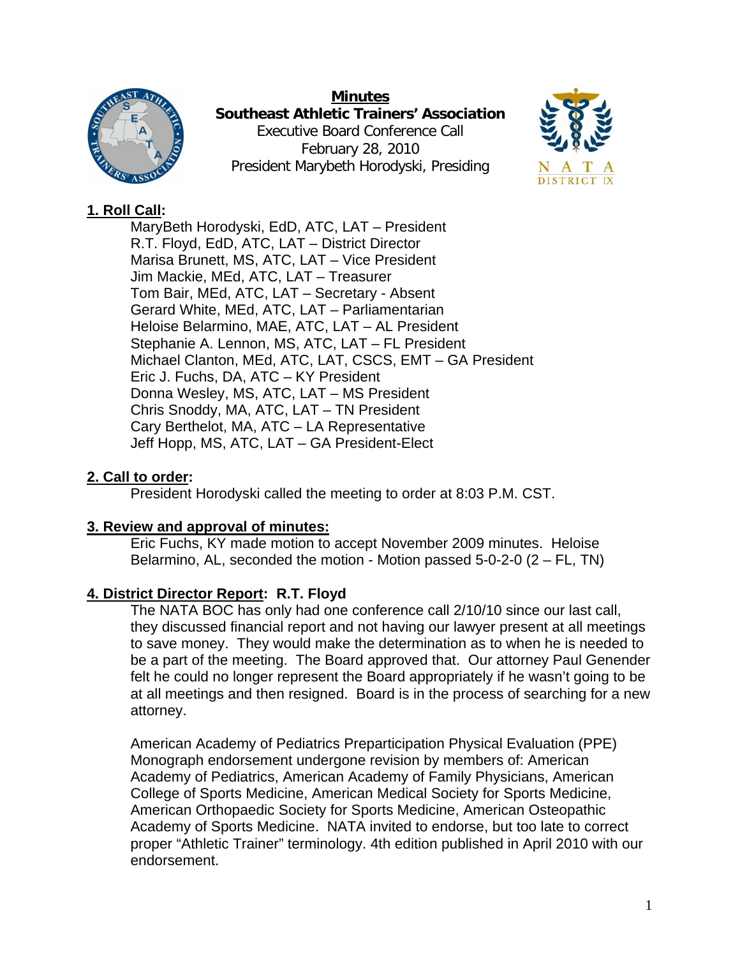

**Minutes Southeast Athletic Trainers' Association**  Executive Board Conference Call February 28, 2010 President Marybeth Horodyski, Presiding



# **1. Roll Call:**

MaryBeth Horodyski, EdD, ATC, LAT – President R.T. Floyd, EdD, ATC, LAT – District Director Marisa Brunett, MS, ATC, LAT – Vice President Jim Mackie, MEd, ATC, LAT – Treasurer Tom Bair, MEd, ATC, LAT – Secretary - Absent Gerard White, MEd, ATC, LAT – Parliamentarian Heloise Belarmino, MAE, ATC, LAT – AL President Stephanie A. Lennon, MS, ATC, LAT – FL President Michael Clanton, MEd, ATC, LAT, CSCS, EMT – GA President Eric J. Fuchs, DA, ATC – KY President Donna Wesley, MS, ATC, LAT – MS President Chris Snoddy, MA, ATC, LAT – TN President Cary Berthelot, MA, ATC – LA Representative Jeff Hopp, MS, ATC, LAT – GA President-Elect

# **2. Call to order:**

President Horodyski called the meeting to order at 8:03 P.M. CST.

## **3. Review and approval of minutes:**

Eric Fuchs, KY made motion to accept November 2009 minutes. Heloise Belarmino, AL, seconded the motion - Motion passed 5-0-2-0 (2 – FL, TN)

## **4. District Director Report: R.T. Floyd**

The NATA BOC has only had one conference call 2/10/10 since our last call, they discussed financial report and not having our lawyer present at all meetings to save money. They would make the determination as to when he is needed to be a part of the meeting. The Board approved that. Our attorney Paul Genender felt he could no longer represent the Board appropriately if he wasn't going to be at all meetings and then resigned. Board is in the process of searching for a new attorney.

American Academy of Pediatrics Preparticipation Physical Evaluation (PPE) Monograph endorsement undergone revision by members of: American Academy of Pediatrics, American Academy of Family Physicians, American College of Sports Medicine, American Medical Society for Sports Medicine, American Orthopaedic Society for Sports Medicine, American Osteopathic Academy of Sports Medicine. NATA invited to endorse, but too late to correct proper "Athletic Trainer" terminology. 4th edition published in April 2010 with our endorsement.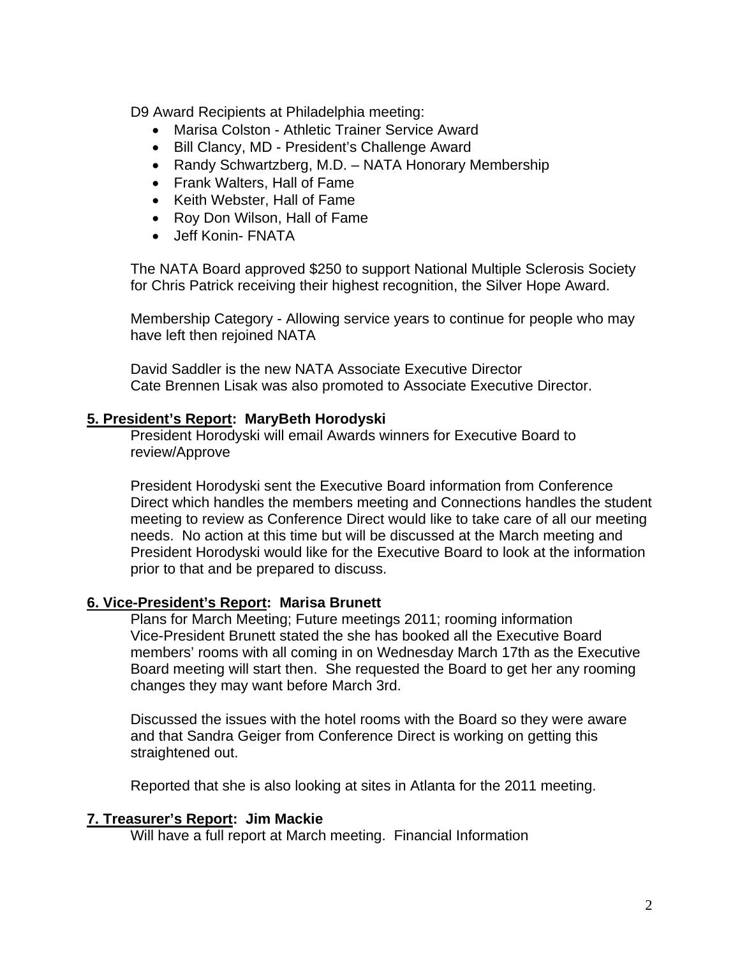D9 Award Recipients at Philadelphia meeting:

- Marisa Colston Athletic Trainer Service Award
- Bill Clancy, MD President's Challenge Award
- Randy Schwartzberg, M.D. NATA Honorary Membership
- Frank Walters, Hall of Fame
- Keith Webster, Hall of Fame
- Roy Don Wilson, Hall of Fame
- Jeff Konin- FNATA

The NATA Board approved \$250 to support National Multiple Sclerosis Society for Chris Patrick receiving their highest recognition, the Silver Hope Award.

Membership Category - Allowing service years to continue for people who may have left then rejoined NATA

David Saddler is the new NATA Associate Executive Director Cate Brennen Lisak was also promoted to Associate Executive Director.

### **5. President's Report: MaryBeth Horodyski**

President Horodyski will email Awards winners for Executive Board to review/Approve

President Horodyski sent the Executive Board information from Conference Direct which handles the members meeting and Connections handles the student meeting to review as Conference Direct would like to take care of all our meeting needs. No action at this time but will be discussed at the March meeting and President Horodyski would like for the Executive Board to look at the information prior to that and be prepared to discuss.

#### **6. Vice-President's Report: Marisa Brunett**

Plans for March Meeting; Future meetings 2011; rooming information Vice-President Brunett stated the she has booked all the Executive Board members' rooms with all coming in on Wednesday March 17th as the Executive Board meeting will start then. She requested the Board to get her any rooming changes they may want before March 3rd.

Discussed the issues with the hotel rooms with the Board so they were aware and that Sandra Geiger from Conference Direct is working on getting this straightened out.

Reported that she is also looking at sites in Atlanta for the 2011 meeting.

#### **7. Treasurer's Report: Jim Mackie**

Will have a full report at March meeting. Financial Information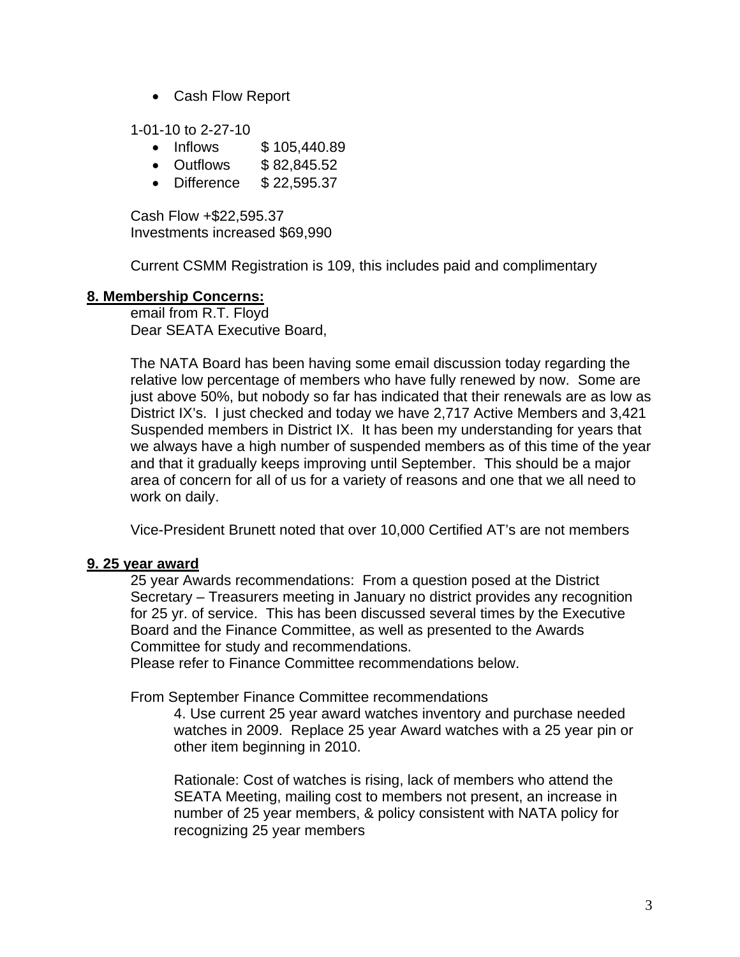• Cash Flow Report

1-01-10 to 2-27-10

- Inflows \$105,440.89
- Outflows \$ 82,845.52
- Difference \$ 22,595.37

Cash Flow +\$22,595.37 Investments increased \$69,990

Current CSMM Registration is 109, this includes paid and complimentary

#### **8. Membership Concerns:**

email from R.T. Floyd Dear SEATA Executive Board,

The NATA Board has been having some email discussion today regarding the relative low percentage of members who have fully renewed by now. Some are just above 50%, but nobody so far has indicated that their renewals are as low as District IX's. I just checked and today we have 2,717 Active Members and 3,421 Suspended members in District IX. It has been my understanding for years that we always have a high number of suspended members as of this time of the year and that it gradually keeps improving until September. This should be a major area of concern for all of us for a variety of reasons and one that we all need to work on daily.

Vice-President Brunett noted that over 10,000 Certified AT's are not members

#### **9. 25 year award**

25 year Awards recommendations: From a question posed at the District Secretary – Treasurers meeting in January no district provides any recognition for 25 yr. of service. This has been discussed several times by the Executive Board and the Finance Committee, as well as presented to the Awards Committee for study and recommendations.

Please refer to Finance Committee recommendations below.

From September Finance Committee recommendations

4. Use current 25 year award watches inventory and purchase needed watches in 2009. Replace 25 year Award watches with a 25 year pin or other item beginning in 2010.

Rationale: Cost of watches is rising, lack of members who attend the SEATA Meeting, mailing cost to members not present, an increase in number of 25 year members, & policy consistent with NATA policy for recognizing 25 year members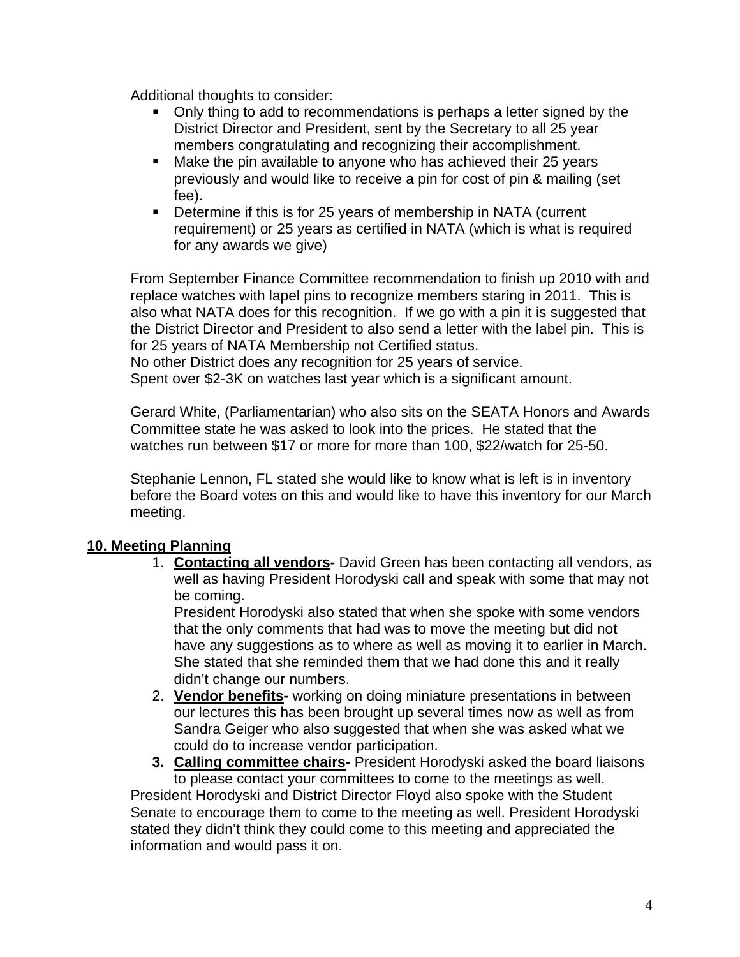Additional thoughts to consider:

- Only thing to add to recommendations is perhaps a letter signed by the District Director and President, sent by the Secretary to all 25 year members congratulating and recognizing their accomplishment.
- Make the pin available to anyone who has achieved their 25 years previously and would like to receive a pin for cost of pin & mailing (set fee).
- Determine if this is for 25 years of membership in NATA (current requirement) or 25 years as certified in NATA (which is what is required for any awards we give)

From September Finance Committee recommendation to finish up 2010 with and replace watches with lapel pins to recognize members staring in 2011. This is also what NATA does for this recognition. If we go with a pin it is suggested that the District Director and President to also send a letter with the label pin. This is for 25 years of NATA Membership not Certified status. No other District does any recognition for 25 years of service.

Spent over \$2-3K on watches last year which is a significant amount.

Gerard White, (Parliamentarian) who also sits on the SEATA Honors and Awards Committee state he was asked to look into the prices. He stated that the watches run between \$17 or more for more than 100, \$22/watch for 25-50.

Stephanie Lennon, FL stated she would like to know what is left is in inventory before the Board votes on this and would like to have this inventory for our March meeting.

## **10. Meeting Planning**

1. **Contacting all vendors-** David Green has been contacting all vendors, as well as having President Horodyski call and speak with some that may not be coming.

President Horodyski also stated that when she spoke with some vendors that the only comments that had was to move the meeting but did not have any suggestions as to where as well as moving it to earlier in March. She stated that she reminded them that we had done this and it really didn't change our numbers.

- 2. **Vendor benefits-** working on doing miniature presentations in between our lectures this has been brought up several times now as well as from Sandra Geiger who also suggested that when she was asked what we could do to increase vendor participation.
- **3. Calling committee chairs-** President Horodyski asked the board liaisons to please contact your committees to come to the meetings as well. President Horodyski and District Director Floyd also spoke with the Student Senate to encourage them to come to the meeting as well. President Horodyski stated they didn't think they could come to this meeting and appreciated the information and would pass it on.